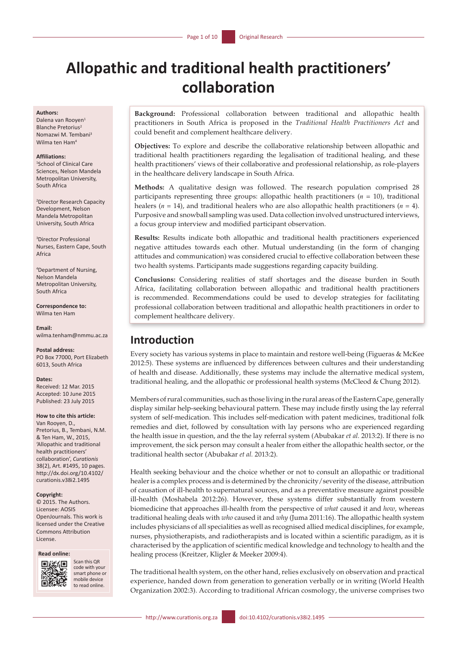# **Allopathic and traditional health practitioners' collaboration**

#### **Authors:**

Dalena van Rooyen<sup>1</sup> Blanche Pretorius<sup>2</sup> Nomazwi M. Tembani3 Wilma ten Ham<sup>4</sup>

#### **Affiliations:**

1 School of Clinical Care Sciences, Nelson Mandela Metropolitan University, South Africa

2 Director Research Capacity Development, Nelson Mandela Metropolitan University, South Africa

3 Director Professional Nurses, Eastern Cape, South Africa

4 Department of Nursing, Nelson Mandela Metropolitan University, South Africa

**Correspondence to:** Wilma ten Ham

**Email:** [wilma.tenham@nmmu.ac.za](mailto:wilma.tenham@nmmu.ac.za)

**Postal address:** PO Box 77000, Port Elizabeth 6013, South Africa

#### **Dates:**

Received: 12 Mar. 2015 Accepted: 10 June 2015 Published: 23 July 2015

#### **How to cite this article:**

Van Rooyen, D., Pretorius, B., Tembani, N.M. & Ten Ham, W., 2015, 'Allopathic and traditional health practitioners' collaboration', *Curationis* 38(2), Art. #1495, 10 pages. [http://dx.doi.org/10.4102/](http://dx.doi.org/10.4102/curationis.v38i2.1496) [curationis.v38i2.1495](http://dx.doi.org/10.4102/curationis.v38i2.1496)

#### **Copyright:**

© 2015. The Authors. Licensee: AOSIS OpenJournals. This work is licensed under the Creative Commons Attribution License.





Scan this QR code with your smart phone or mobile device to read online.

**Background:** Professional collaboration between traditional and allopathic health practitioners in South Africa is proposed in the *Traditional Health Practitioners Act* and could benefit and complement healthcare delivery.

**Objectives:** To explore and describe the collaborative relationship between allopathic and traditional health practitioners regarding the legalisation of traditional healing, and these health practitioners' views of their collaborative and professional relationship, as role-players in the healthcare delivery landscape in South Africa.

**Methods:** A qualitative design was followed. The research population comprised 28 participants representing three groups: allopathic health practitioners (*n* = 10), traditional healers ( $n = 14$ ), and traditional healers who are also allopathic health practitioners ( $n = 4$ ). Purposive and snowball sampling was used. Data collection involved unstructured interviews, a focus group interview and modified participant observation.

**Results:** Results indicate both allopathic and traditional health practitioners experienced negative attitudes towards each other. Mutual understanding (in the form of changing attitudes and communication) was considered crucial to effective collaboration between these two health systems. Participants made suggestions regarding capacity building.

**Conclusions:** Considering realities of staff shortages and the disease burden in South Africa, facilitating collaboration between allopathic and traditional health practitioners is recommended. Recommendations could be used to develop strategies for facilitating professional collaboration between traditional and allopathic health practitioners in order to complement healthcare delivery.

# **Introduction**

Every society has various systems in place to maintain and restore well-being (Figueras & McKee 2012:5). These systems are influenced by differences between cultures and their understanding of health and disease. Additionally, these systems may include the alternative medical system, traditional healing, and the allopathic or professional health systems (McCleod & Chung 2012).

Members of rural communities, such as those living in the rural areas of the Eastern Cape, generally display similar help-seeking behavioural pattern. These may include firstly using the lay referral system of self-medication. This includes self-medication with patent medicines, traditional folk remedies and diet, followed by consultation with lay persons who are experienced regarding the health issue in question, and the the lay referral system (Abubakar *et al.* 2013:2). If there is no improvement, the sick person may consult a healer from either the allopathic health sector, or the traditional health sector (Abubakar *et al.* 2013:2).

Health seeking behaviour and the choice whether or not to consult an allopathic or traditional healer is a complex process and is determined by the chronicity/severity of the disease, attribution of causation of ill-health to supernatural sources, and as a preventative measure against possible ill-health (Moshabela 2012:26). However, these systems differ substantially from western biomedicine that approaches ill-health from the perspective of *what* caused it and *how*, whereas traditional healing deals with *who* caused it and *why* (Juma 2011:16). The allopathic health system includes physicians of all specialities as well as recognised allied medical disciplines, for example, nurses, physiotherapists, and radiotherapists and is located within a scientific paradigm, as it is characterised by the application of scientific medical knowledge and technology to health and the healing process (Kreitzer, Kligler & Meeker 2009:4).

The traditional health system, on the other hand, relies exclusively on observation and practical experience, handed down from generation to generation verbally or in writing (World Health Organization 2002:3). According to traditional African cosmology, the universe comprises two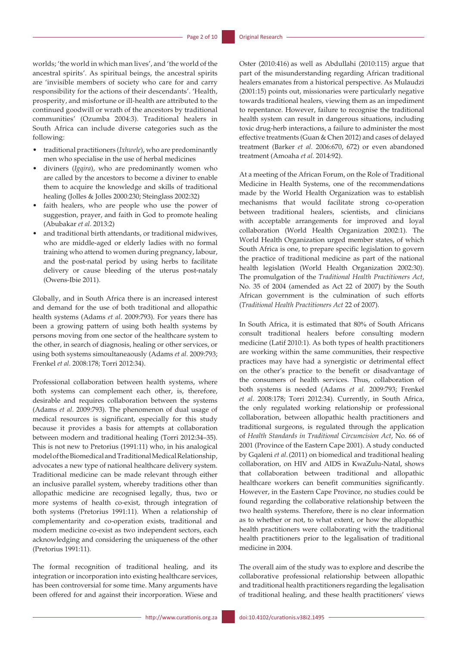worlds; 'the world in which man lives', and 'the world of the ancestral spirits'. As spiritual beings, the ancestral spirits are 'invisible members of society who care for and carry responsibility for the actions of their descendants'. 'Health, prosperity, and misfortune or ill-health are attributed to the continued goodwill or wrath of the ancestors by traditional communities' (Ozumba 2004:3). Traditional healers in South Africa can include diverse categories such as the following:

- traditional practitioners (*Ixhwele*), who are predominantly men who specialise in the use of herbal medicines
- diviners (*Igqira*), who are predominantly women who are called by the ancestors to become a diviner to enable them to acquire the knowledge and skills of traditional healing (Jolles & Jolles 2000:230; Steinglass 2002:32)
- faith healers, who are people who use the power of suggestion, prayer, and faith in God to promote healing (Abubakar *et al.* 2013:2)
- and traditional birth attendants, or traditional midwives, who are middle-aged or elderly ladies with no formal training who attend to women during pregnancy, labour, and the post-natal period by using herbs to facilitate delivery or cause bleeding of the uterus post-nataly (Owens-Ibie 2011).

Globally, and in South Africa there is an increased interest and demand for the use of both traditional and allopathic health systems (Adams *et al*. 2009:793). For years there has been a growing pattern of using both health systems by persons moving from one sector of the healthcare system to the other, in search of diagnosis, healing or other services, or using both systems simoultaneaously (Adams *et al.* 2009:793; Frenkel *et al.* 2008:178; Torri 2012:34).

Professional collaboration between health systems, where both systems can complement each other, is, therefore, desirable and requires collaboration between the systems (Adams *et al*. 2009:793). The phenomenon of dual usage of medical resources is significant, especially for this study because it provides a basis for attempts at collaboration between modern and traditional healing (Torri 2012:34–35). This is not new to Pretorius (1991:11) who, in his analogical model of the Biomedical and Traditional Medical Relationship, advocates a new type of national healthcare delivery system. Traditional medicine can be made relevant through either an inclusive parallel system, whereby traditions other than allopathic medicine are recognised legally, thus, two or more systems of health co-exist, through integration of both systems (Pretorius 1991:11). When a relationship of complementarity and co-operation exists, traditional and modern medicine co-exist as two independent sectors, each acknowledging and considering the uniqueness of the other (Pretorius 1991:11).

The formal recognition of traditional healing, and its integration or incorporation into existing healthcare services, has been controversial for some time. Many arguments have been offered for and against their incorporation. Wiese and

Oster (2010:416) as well as Abdullahi (2010:115) argue that part of the misunderstanding regarding African traditional healers emanates from a historical perspective. As Mulaudzi (2001:15) points out, missionaries were particularly negative towards traditional healers, viewing them as an impediment to repentance. However, failure to recognise the traditional health system can result in dangerous situations, including toxic drug-herb interactions, a failure to administer the most effective treatments (Guan & Chen 2012) and cases of delayed treatment (Barker *et al.* 2006:670, 672) or even abandoned treatment (Amoaha *et al*. 2014:92).

At a meeting of the African Forum, on the Role of Traditional Medicine in Health Systems, one of the recommendations made by the World Health Organization was to establish mechanisms that would facilitate strong co-operation between traditional healers, scientists, and clinicians with acceptable arrangements for improved and loyal collaboration (World Health Organization 2002:1). The World Health Organization urged member states, of which South Africa is one, to prepare specific legislation to govern the practice of traditional medicine as part of the national health legislation (World Health Organization 2002:30). The promulgation of the *Traditional Health Practitioners Act*, No. 35 of 2004 (amended as Act 22 of 2007) by the South African government is the culmination of such efforts (*Traditional Health Practitioners Act* 22 of 2007).

In South Africa, it is estimated that 80% of South Africans consult traditional healers before consulting modern medicine (Latif 2010:1). As both types of health practitioners are working within the same communities, their respective practices may have had a synergistic or detrimental effect on the other's practice to the benefit or disadvantage of the consumers of health services. Thus, collaboration of both systems is needed (Adams *et al.* 2009:793; Frenkel *et al.* 2008:178; Torri 2012:34). Currently, in South Africa, the only regulated working relationship or professional collaboration, between allopathic health practitioners and traditional surgeons, is regulated through the application of *Health Standards in Traditional Circumcision Act*, No. 66 of 2001 (Province of the Eastern Cape 2001). A study conducted by Gqaleni *et al*.(2011) on biomedical and traditional healing collaboration, on HIV and AIDS in KwaZulu-Natal, shows that collaboration between traditional and allopathic healthcare workers can benefit communities significantly. However, in the Eastern Cape Province, no studies could be found regarding the collaborative relationship between the two health systems. Therefore, there is no clear information as to whether or not, to what extent, or how the allopathic health practitioners were collaborating with the traditional health practitioners prior to the legalisation of traditional medicine in 2004.

The overall aim of the study was to explore and describe the collaborative professional relationship between allopathic and traditional health practitioners regarding the legalisation of traditional healing, and these health practitioners' views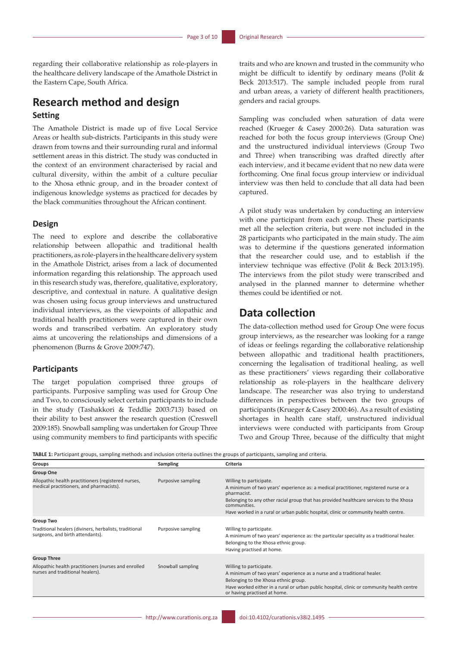regarding their collaborative relationship as role-players in the healthcare delivery landscape of the Amathole District in the Eastern Cape, South Africa.

# **Research method and design Setting**

The Amathole District is made up of five Local Service Areas or health sub-districts. Participants in this study were drawn from towns and their surrounding rural and informal settlement areas in this district. The study was conducted in the context of an environment characterised by racial and cultural diversity, within the ambit of a culture peculiar to the Xhosa ethnic group, and in the broader context of indigenous knowledge systems as practiced for decades by the black communities throughout the African continent.

#### **Design**

The need to explore and describe the collaborative relationship between allopathic and traditional health practitioners, as role-players in the healthcare delivery system in the Amathole District, arises from a lack of documented information regarding this relationship. The approach used in this research study was, therefore, qualitative, exploratory, descriptive, and contextual in nature. A qualitative design was chosen using focus group interviews and unstructured individual interviews, as the viewpoints of allopathic and traditional health practitioners were captured in their own words and transcribed verbatim. An exploratory study aims at uncovering the relationships and dimensions of a phenomenon (Burns & Grove 2009:747).

#### **Participants**

The target population comprised three groups of participants. Purposive sampling was used for Group One and Two, to consciously select certain participants to include in the study (Tashakkori & Teddlie 2003:713) based on their ability to best answer the research question (Creswell 2009:185). Snowball sampling was undertaken for Group Three using community members to find participants with specific traits and who are known and trusted in the community who might be difficult to identify by ordinary means (Polit & Beck 2013:517). The sample included people from rural and urban areas, a variety of different health practitioners, genders and racial groups.

Sampling was concluded when saturation of data were reached (Krueger & Casey 2000:26). Data saturation was reached for both the focus group interviews (Group One) and the unstructured individual interviews (Group Two and Three) when transcribing was drafted directly after each interview, and it became evident that no new data were forthcoming. One final focus group interview or individual interview was then held to conclude that all data had been captured.

A pilot study was undertaken by conducting an interview with one participant from each group. These participants met all the selection criteria, but were not included in the 28 participants who participated in the main study. The aim was to determine if the questions generated information that the researcher could use, and to establish if the interview technique was effective (Polit & Beck 2013:195). The interviews from the pilot study were transcribed and analysed in the planned manner to determine whether themes could be identified or not.

# **Data collection**

The data-collection method used for Group One were focus group interviews, as the researcher was looking for a range of ideas or feelings regarding the collaborative relationship between allopathic and traditional health practitioners, concerning the legalisation of traditional healing, as well as these practitioners' views regarding their collaborative relationship as role-players in the healthcare delivery landscape. The researcher was also trying to understand differences in perspectives between the two groups of participants (Krueger & Casey 2000:46). As a result of existing shortages in health care staff, unstructured individual interviews were conducted with participants from Group Two and Group Three, because of the difficulty that might

**TABLE 1:** Participant groups, sampling methods and inclusion criteria outlines the groups of participants, sampling and criteria.

| Sampling           | Criteria                                                                                                                                                                                                                                                                                                                        |
|--------------------|---------------------------------------------------------------------------------------------------------------------------------------------------------------------------------------------------------------------------------------------------------------------------------------------------------------------------------|
|                    |                                                                                                                                                                                                                                                                                                                                 |
| Purposive sampling | Willing to participate.<br>A minimum of two years' experience as: a medical practitioner, registered nurse or a<br>pharmacist.<br>Belonging to any other racial group that has provided healthcare services to the Xhosa<br>communities.<br>Have worked in a rural or urban public hospital, clinic or community health centre. |
|                    |                                                                                                                                                                                                                                                                                                                                 |
| Purposive sampling | Willing to participate.<br>A minimum of two years' experience as: the particular speciality as a traditional healer.<br>Belonging to the Xhosa ethnic group.<br>Having practised at home.                                                                                                                                       |
|                    |                                                                                                                                                                                                                                                                                                                                 |
| Snowball sampling  | Willing to participate.<br>A minimum of two years' experience as a nurse and a traditional healer.<br>Belonging to the Xhosa ethnic group.<br>Have worked either in a rural or urban public hospital, clinic or community health centre<br>or having practised at home.                                                         |
|                    |                                                                                                                                                                                                                                                                                                                                 |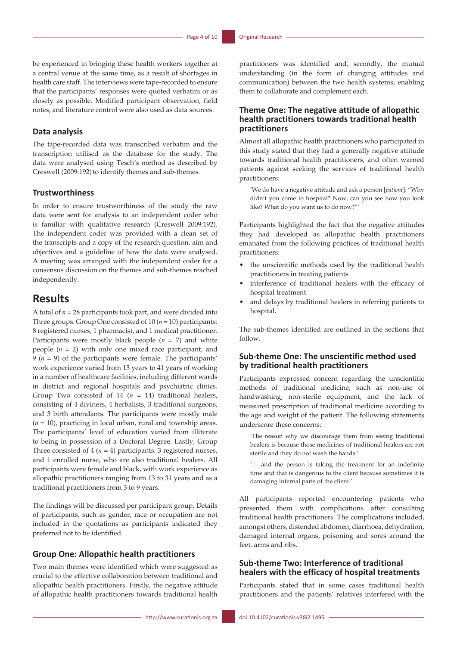be experienced in bringing these health workers together at a central venue at the same time, as a result of shortages in health care staff. The interviews were tape-recorded to ensure that the participants' responses were quoted verbatim or as closely as possible. Modified participant observation, field notes, and literature control were also used as data sources.

#### **Data analysis**

The tape-recorded data was transcribed verbatim and the transcription utilised as the database for the study. The data were analysed using Tesch's method as described by Creswell (2009:192) to identify themes and sub-themes.

#### **Trustworthiness**

In order to ensure trustworthiness of the study the raw data were sent for analysis to an independent coder who is familiar with qualitative research (Creswell 2009:192). The independent coder was provided with a clean set of the transcripts and a copy of the research question, aim and objectives and a guideline of how the data were analysed. A meeting was arranged with the independent coder for a consensus discussion on the themes and sub-themes reached independently.

# **Results**

A total of *n* = 28 participants took part, and were divided into Three groups. Group One consisted of 10 (*n* = 10) participants: 8 registered nurses, 1 pharmacist, and 1 medical practitioner. Participants were mostly black people  $(n = 7)$  and white people (*n* = 2) with only one mixed race participant, and  $9 (n = 9)$  of the participants were female. The participants' work experience varied from 13 years to 41 years of working in a number of healthcare facilities, including different wards in district and regional hospitals and psychiatric clinics. Group Two consisted of 14 (*n* = 14) traditional healers, consisting of 4 diviners, 4 herbalists, 3 traditional surgeons, and 3 birth attendants. The participants were mostly male (*n* = 10), practicing in local urban, rural and township areas. The participants' level of education varied from illiterate to being in possession of a Doctoral Degree. Lastly, Group Three consisted of  $4 (n = 4)$  participants: 3 registered nurses, and 1 enrolled nurse, who are also traditional healers. All participants were female and black, with work experience as allopathic practitioners ranging from 13 to 31 years and as a traditional practitioners from 3 to 9 years.

The findings will be discussed per participant group. Details of participants, such as gender, race or occupation are not included in the quotations as participants indicated they preferred not to be identified.

### **Group One: Allopathic health practitioners**

Two main themes were identified which were suggested as crucial to the effective collaboration between traditional and allopathic health practitioners. Firstly, the negative attitude of allopathic health practitioners towards traditional health practitioners was identified and, secondly, the mutual understanding (in the form of changing attitudes and communication) between the two health systems, enabling them to collaborate and complement each.

#### **Theme One: The negative attitude of allopathic health practitioners towards traditional health practitioners**

Almost all allopathic health practitioners who participated in this study stated that they had a generally negative attitude towards traditional health practitioners, and often warned patients against seeking the services of traditional health practitioners:

'We do have a negative attitude and ask a person [*patient*]: "Why didn't you come to hospital? Now, can you see how you look like? What do you want us to do now?"'

Participants highlighted the fact that the negative attitudes they had developed as allopathic health practitioners emanated from the following practices of traditional health practitioners:

- the unscientific methods used by the traditional health practitioners in treating patients
- interference of traditional healers with the efficacy of hospital treatment
- and delays by traditional healers in referring patients to hospital.

The sub-themes identified are outlined in the sections that follow.

### **Sub-theme One: The unscientific method used by traditional health practitioners**

Participants expressed concern regarding the unscientific methods of traditional medicine, such as non-use of handwashing, non-sterile equipment, and the lack of measured prescription of traditional medicine according to the age and weight of the patient. The following statements underscore these concerns:

- 'The reason why we discourage them from seeing traditional healers is because those medicines of traditional healers are not sterile and they do not wash the hands.'
- '… and the person is taking the treatment for an indefinite time and that is dangerous to the client because sometimes it is damaging internal parts of the client.'

All participants reported encountering patients who presented them with complications after consulting traditional health practitioners. The complications included, amongst others, distended abdomen, diarrhoea, dehydration, damaged internal organs, poisoning and sores around the feet, arms and ribs.

#### **Sub-theme Two: Interference of traditional healers with the efficacy of hospital treatments**

Participants stated that in some cases traditional health practitioners and the patients' relatives interfered with the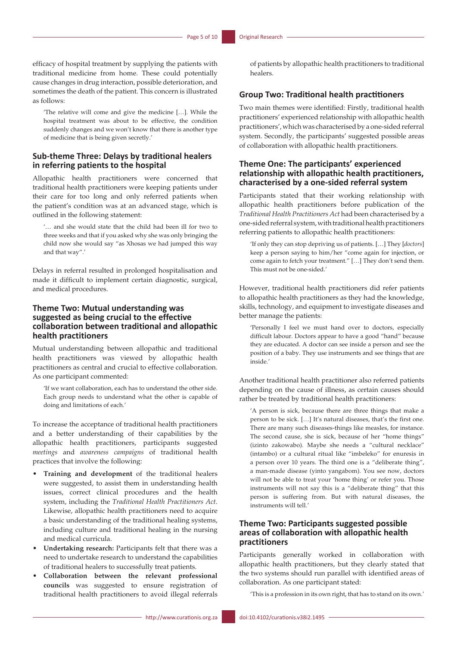efficacy of hospital treatment by supplying the patients with traditional medicine from home. These could potentially cause changes in drug interaction, possible deterioration, and sometimes the death of the patient. This concern is illustrated as follows:

'The relative will come and give the medicine […]. While the hospital treatment was about to be effective, the condition suddenly changes and we won't know that there is another type of medicine that is being given secretly.'

### **Sub-theme Three: Delays by traditional healers in referring patients to the hospital**

Allopathic health practitioners were concerned that traditional health practitioners were keeping patients under their care for too long and only referred patients when the patient's condition was at an advanced stage, which is outlined in the following statement:

'… and she would state that the child had been ill for two to three weeks and that if you asked why she was only bringing the child now she would say "as Xhosas we had jumped this way and that way".'

Delays in referral resulted in prolonged hospitalisation and made it difficult to implement certain diagnostic, surgical, and medical procedures.

#### **Theme Two: Mutual understanding was suggested as being crucial to the effective collaboration between traditional and allopathic health practitioners**

Mutual understanding between allopathic and traditional health practitioners was viewed by allopathic health practitioners as central and crucial to effective collaboration. As one participant commented:

'If we want collaboration, each has to understand the other side. Each group needs to understand what the other is capable of doing and limitations of each.'

To increase the acceptance of traditional health practitioners and a better understanding of their capabilities by the allopathic health practitioners, participants suggested *meetings* and *awareness campaigns* of traditional health practices that involve the following:

- **• Training and development** of the traditional healers were suggested, to assist them in understanding health issues, correct clinical procedures and the health system, including the *Traditional Health Practitioners Act*. Likewise, allopathic health practitioners need to acquire a basic understanding of the traditional healing systems, including culture and traditional healing in the nursing and medical curricula.
- **• Undertaking research:** Participants felt that there was a need to undertake research to understand the capabilities of traditional healers to successfully treat patients.
- **• Collaboration between the relevant professional councils** was suggested to ensure registration of traditional health practitioners to avoid illegal referrals

of patients by allopathic health practitioners to traditional healers.

#### **Group Two: Traditional health practitioners**

Two main themes were identified: Firstly, traditional health practitioners' experienced relationship with allopathic health practitioners', which was characterised by a one-sided referral system. Secondly, the participants' suggested possible areas of collaboration with allopathic health practitioners.

### **Theme One: The participants' experienced relationship with allopathic health practitioners, characterised by a one-sided referral system**

Participants stated that their working relationship with allopathic health practitioners before publication of the *Traditional Health Practitioners Act* had been characterised by a one-sided referral system, with traditional health practitioners referring patients to allopathic health practitioners:

'If only they can stop depriving us of patients. […] They [*doctors*] keep a person saying to him/her "come again for injection, or come again to fetch your treatment." […] They don't send them. This must not be one-sided.'

However, traditional health practitioners did refer patients to allopathic health practitioners as they had the knowledge, skills, technology, and equipment to investigate diseases and better manage the patients:

'Personally I feel we must hand over to doctors, especially difficult labour. Doctors appear to have a good "hand" because they are educated. A doctor can see inside a person and see the position of a baby. They use instruments and see things that are inside.'

Another traditional health practitioner also referred patients depending on the cause of illness, as certain causes should rather be treated by traditional health practitioners:

'A person is sick, because there are three things that make a person to be sick. […] It's natural diseases, that's the first one. There are many such diseases-things like measles, for instance. The second cause, she is sick, because of her "home things" (izinto zakowabo). Maybe she needs a "cultural necklace" (intambo) or a cultural ritual like "imbeleko" for enuresis in a person over 10 years. The third one is a "deliberate thing", a man-made disease (yinto yangabom). You see now, doctors will not be able to treat your 'home thing' or refer you. Those instruments will not say this is a "deliberate thing" that this person is suffering from. But with natural diseases, the instruments will tell.'

### **Theme Two: Participants suggested possible areas of collaboration with allopathic health practitioners**

Participants generally worked in collaboration with allopathic health practitioners, but they clearly stated that the two systems should run parallel with identified areas of collaboration. As one participant stated:

'This is a profession in its own right, that has to stand on its own.'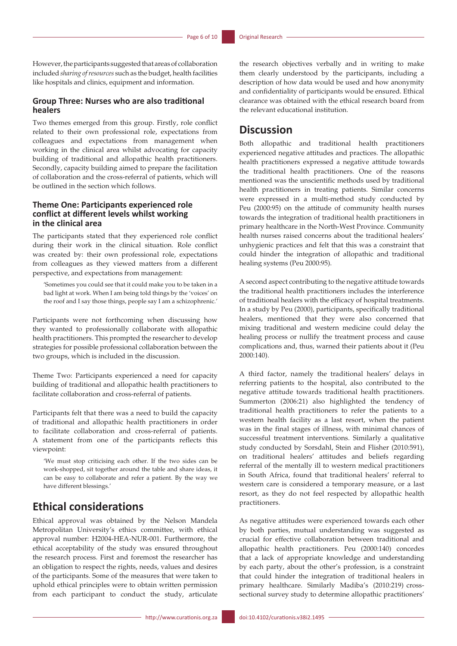However, the participants suggested that areas of collaboration included *sharing of resources* such as the budget, health facilities like hospitals and clinics, equipment and information.

#### **Group Three: Nurses who are also traditional healers**

Two themes emerged from this group. Firstly, role conflict related to their own professional role, expectations from colleagues and expectations from management when working in the clinical area whilst advocating for capacity building of traditional and allopathic health practitioners. Secondly, capacity building aimed to prepare the facilitation of collaboration and the cross-referral of patients, which will be outlined in the section which follows.

### **Theme One: Participants experienced role conflict at different levels whilst working in the clinical area**

The participants stated that they experienced role conflict during their work in the clinical situation. Role conflict was created by: their own professional role, expectations from colleagues as they viewed matters from a different perspective, and expectations from management:

'Sometimes you could see that it could make you to be taken in a bad light at work. When I am being told things by the 'voices' on the roof and I say those things, people say I am a schizophrenic.'

Participants were not forthcoming when discussing how they wanted to professionally collaborate with allopathic health practitioners. This prompted the researcher to develop strategies for possible professional collaboration between the two groups, which is included in the discussion.

Theme Two: Participants experienced a need for capacity building of traditional and allopathic health practitioners to facilitate collaboration and cross-referral of patients.

Participants felt that there was a need to build the capacity of traditional and allopathic health practitioners in order to facilitate collaboration and cross-referral of patients. A statement from one of the participants reflects this viewpoint:

'We must stop criticising each other. If the two sides can be work-shopped, sit together around the table and share ideas, it can be easy to collaborate and refer a patient. By the way we have different blessings.'

# **Ethical considerations**

Ethical approval was obtained by the Nelson Mandela Metropolitan University's ethics committee, with ethical approval number: H2004-HEA-NUR-001. Furthermore, the ethical acceptability of the study was ensured throughout the research process. First and foremost the researcher has an obligation to respect the rights, needs, values and desires of the participants. Some of the measures that were taken to uphold ethical principles were to obtain written permission from each participant to conduct the study, articulate the research objectives verbally and in writing to make them clearly understood by the participants, including a description of how data would be used and how anonymity and confidentiality of participants would be ensured. Ethical clearance was obtained with the ethical research board from the relevant educational institution.

# **Discussion**

Both allopathic and traditional health practitioners experienced negative attitudes and practices. The allopathic health practitioners expressed a negative attitude towards the traditional health practitioners. One of the reasons mentioned was the unscientific methods used by traditional health practitioners in treating patients. Similar concerns were expressed in a multi-method study conducted by Peu (2000:95) on the attitude of community health nurses towards the integration of traditional health practitioners in primary healthcare in the North-West Province. Community health nurses raised concerns about the traditional healers' unhygienic practices and felt that this was a constraint that could hinder the integration of allopathic and traditional healing systems (Peu 2000:95).

A second aspect contributing to the negative attitude towards the traditional health practitioners includes the interference of traditional healers with the efficacy of hospital treatments. In a study by Peu (2000), participants, specifically traditional healers, mentioned that they were also concerned that mixing traditional and western medicine could delay the healing process or nullify the treatment process and cause complications and, thus, warned their patients about it (Peu 2000:140).

A third factor, namely the traditional healers' delays in referring patients to the hospital, also contributed to the negative attitude towards traditional health practitioners. Summerton (2006:21) also highlighted the tendency of traditional health practitioners to refer the patients to a western health facility as a last resort, when the patient was in the final stages of illness, with minimal chances of successful treatment interventions. Similarly a qualitative study conducted by Sorsdahl, Stein and Flisher (2010:591), on traditional healers' attitudes and beliefs regarding referral of the mentally ill to western medical practitioners in South Africa, found that traditional healers' referral to western care is considered a temporary measure, or a last resort, as they do not feel respected by allopathic health practitioners.

As negative attitudes were experienced towards each other by both parties, mutual understanding was suggested as crucial for effective collaboration between traditional and allopathic health practitioners. Peu (2000:140) concedes that a lack of appropriate knowledge and understanding by each party, about the other's profession, is a constraint that could hinder the integration of traditional healers in primary healthcare. Similarly Madiba's (2010:219) crosssectional survey study to determine allopathic practitioners'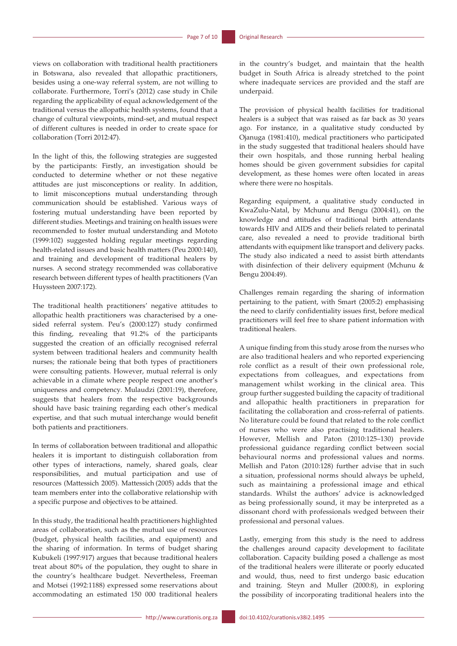views on collaboration with traditional health practitioners in Botswana, also revealed that allopathic practitioners, besides using a one-way referral system, are not willing to collaborate. Furthermore, Torri's (2012) case study in Chile regarding the applicability of equal acknowledgement of the traditional versus the allopathic health systems, found that a change of cultural viewpoints, mind-set, and mutual respect of different cultures is needed in order to create space for collaboration (Torri 2012:47).

In the light of this, the following strategies are suggested by the participants: Firstly, an investigation should be conducted to determine whether or not these negative attitudes are just misconceptions or reality. In addition, to limit misconceptions mutual understanding through communication should be established. Various ways of fostering mutual understanding have been reported by different studies. Meetings and training on health issues were recommended to foster mutual understanding and Mototo (1999:102) suggested holding regular meetings regarding health-related issues and basic health matters (Peu 2000:140), and training and development of traditional healers by nurses. A second strategy recommended was collaborative research between different types of health practitioners (Van Huyssteen 2007:172).

The traditional health practitioners' negative attitudes to allopathic health practitioners was characterised by a onesided referral system. Peu's (2000:127) study confirmed this finding, revealing that 91.2% of the participants suggested the creation of an officially recognised referral system between traditional healers and community health nurses; the rationale being that both types of practitioners were consulting patients. However, mutual referral is only achievable in a climate where people respect one another's uniqueness and competency. Mulaudzi (2001:19), therefore, suggests that healers from the respective backgrounds should have basic training regarding each other's medical expertise, and that such mutual interchange would benefit both patients and practitioners.

In terms of collaboration between traditional and allopathic healers it is important to distinguish collaboration from other types of interactions, namely, shared goals, clear responsibilities, and mutual participation and use of resources (Mattessich 2005). Mattessich (2005) adds that the team members enter into the collaborative relationship with a specific purpose and objectives to be attained.

In this study, the traditional health practitioners highlighted areas of collaboration, such as the mutual use of resources (budget, physical health facilities, and equipment) and the sharing of information. In terms of budget sharing Kubukeli (1997:917) argues that because traditional healers treat about 80% of the population, they ought to share in the country's healthcare budget. Nevertheless, Freeman and Motsei (1992:1188) expressed some reservations about accommodating an estimated 150 000 traditional healers in the country's budget, and maintain that the health budget in South Africa is already stretched to the point where inadequate services are provided and the staff are underpaid.

The provision of physical health facilities for traditional healers is a subject that was raised as far back as 30 years ago. For instance, in a qualitative study conducted by Ojanuga (1981:410), medical practitioners who participated in the study suggested that traditional healers should have their own hospitals, and those running herbal healing homes should be given government subsidies for capital development, as these homes were often located in areas where there were no hospitals.

Regarding equipment, a qualitative study conducted in KwaZulu-Natal, by Mchunu and Bengu (2004:41), on the knowledge and attitudes of traditional birth attendants towards HIV and AIDS and their beliefs related to perinatal care, also revealed a need to provide traditional birth attendants with equipment like transport and delivery packs. The study also indicated a need to assist birth attendants with disinfection of their delivery equipment (Mchunu & Bengu 2004:49).

Challenges remain regarding the sharing of information pertaining to the patient, with Smart (2005:2) emphasising the need to clarify confidentiality issues first, before medical practitioners will feel free to share patient information with traditional healers.

A unique finding from this study arose from the nurses who are also traditional healers and who reported experiencing role conflict as a result of their own professional role, expectations from colleagues, and expectations from management whilst working in the clinical area. This group further suggested building the capacity of traditional and allopathic health practitioners in preparation for facilitating the collaboration and cross-referral of patients. No literature could be found that related to the role conflict of nurses who were also practising traditional healers. However, Mellish and Paton (2010:125–130) provide professional guidance regarding conflict between social behavioural norms and professional values and norms. Mellish and Paton (2010:128) further advise that in such a situation, professional norms should always be upheld, such as maintaining a professional image and ethical standards. Whilst the authors' advice is acknowledged as being professionally sound, it may be interpreted as a dissonant chord with professionals wedged between their professional and personal values.

Lastly, emerging from this study is the need to address the challenges around capacity development to facilitate collaboration. Capacity building posed a challenge as most of the traditional healers were illiterate or poorly educated and would, thus, need to first undergo basic education and training. Steyn and Muller (2000:8), in exploring the possibility of incorporating traditional healers into the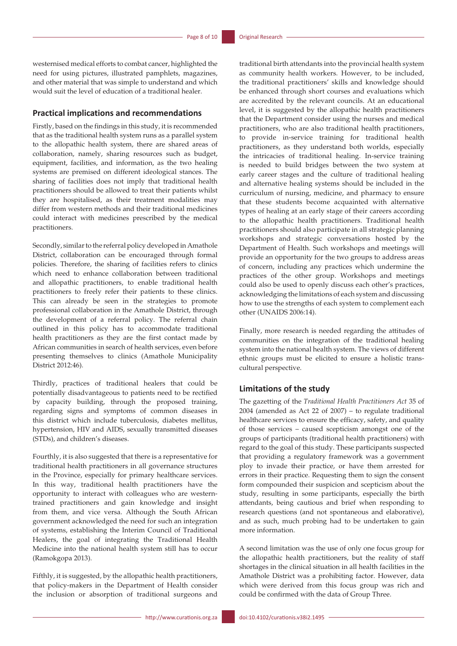westernised medical efforts to combat cancer, highlighted the need for using pictures, illustrated pamphlets, magazines, and other material that was simple to understand and which would suit the level of education of a traditional healer.

#### **Practical implications and recommendations**

Firstly, based on the findings in this study, it is recommended that as the traditional health system runs as a parallel system to the allopathic health system, there are shared areas of collaboration, namely, sharing resources such as budget, equipment, facilities, and information, as the two healing systems are premised on different ideological stances. The sharing of facilities does not imply that traditional health practitioners should be allowed to treat their patients whilst they are hospitalised, as their treatment modalities may differ from western methods and their traditional medicines could interact with medicines prescribed by the medical practitioners.

Secondly, similar to the referral policy developed in Amathole District, collaboration can be encouraged through formal policies. Therefore, the sharing of facilities refers to clinics which need to enhance collaboration between traditional and allopathic practitioners, to enable traditional health practitioners to freely refer their patients to these clinics. This can already be seen in the strategies to promote professional collaboration in the Amathole District, through the development of a referral policy. The referral chain outlined in this policy has to accommodate traditional health practitioners as they are the first contact made by African communities in search of health services, even before presenting themselves to clinics (Amathole Municipality District 2012:46).

Thirdly, practices of traditional healers that could be potentially disadvantageous to patients need to be rectified by capacity building, through the proposed training, regarding signs and symptoms of common diseases in this district which include tuberculosis, diabetes mellitus, hypertension, HIV and AIDS, sexually transmitted diseases (STDs), and children's diseases.

Fourthly, it is also suggested that there is a representative for traditional health practitioners in all governance structures in the Province, especially for primary healthcare services. In this way, traditional health practitioners have the opportunity to interact with colleagues who are westerntrained practitioners and gain knowledge and insight from them, and vice versa. Although the South African government acknowledged the need for such an integration of systems, establishing the Interim Council of Traditional Healers, the goal of integrating the Traditional Health Medicine into the national health system still has to occur (Ramokgopa 2013).

Fifthly, it is suggested, by the allopathic health practitioners, that policy-makers in the Department of Health consider the inclusion or absorption of traditional surgeons and traditional birth attendants into the provincial health system as community health workers. However, to be included, the traditional practitioners' skills and knowledge should be enhanced through short courses and evaluations which are accredited by the relevant councils. At an educational level, it is suggested by the allopathic health practitioners that the Department consider using the nurses and medical practitioners, who are also traditional health practitioners, to provide in-service training for traditional health practitioners, as they understand both worlds, especially the intricacies of traditional healing. In-service training is needed to build bridges between the two system at early career stages and the culture of traditional healing and alternative healing systems should be included in the curriculum of nursing, medicine, and pharmacy to ensure that these students become acquainted with alternative types of healing at an early stage of their careers according to the allopathic health practitioners. Traditional health practitioners should also participate in all strategic planning workshops and strategic conversations hosted by the Department of Health. Such workshops and meetings will provide an opportunity for the two groups to address areas of concern, including any practices which undermine the practices of the other group. Workshops and meetings could also be used to openly discuss each other's practices, acknowledging the limitations of each system and discussing how to use the strengths of each system to complement each other (UNAIDS 2006:14).

Finally, more research is needed regarding the attitudes of communities on the integration of the traditional healing system into the national health system. The views of different ethnic groups must be elicited to ensure a holistic transcultural perspective.

#### **Limitations of the study**

The gazetting of the *Traditional Health Practitioners Act* 35 of 2004 (amended as Act 22 of 2007) – to regulate traditional healthcare services to ensure the efficacy, safety, and quality of those services – caused scepticism amongst one of the groups of participants (traditional health practitioners) with regard to the goal of this study. These participants suspected that providing a regulatory framework was a government ploy to invade their practice, or have them arrested for errors in their practice. Requesting them to sign the consent form compounded their suspicion and scepticism about the study, resulting in some participants, especially the birth attendants, being cautious and brief when responding to research questions (and not spontaneous and elaborative), and as such, much probing had to be undertaken to gain more information.

A second limitation was the use of only one focus group for the allopathic health practitioners, but the reality of staff shortages in the clinical situation in all health facilities in the Amathole District was a prohibiting factor. However, data which were derived from this focus group was rich and could be confirmed with the data of Group Three.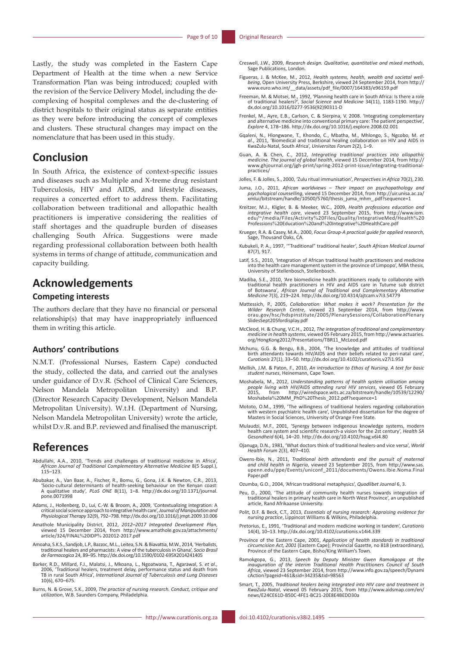Lastly, the study was completed in the Eastern Cape Department of Health at the time when a new Service Transformation Plan was being introduced; coupled with the revision of the Service Delivery Model, including the decomplexing of hospital complexes and the de-clustering of district hospitals to their original status as separate entities as they were before introducing the concept of complexes and clusters. These structural changes may impact on the nomenclature that has been used in this study.

# **Conclusion**

In South Africa, the existence of context-specific issues and diseases such as Multiple and X-treme drug resistant Tuberculosis, HIV and AIDS, and lifestyle diseases, requires a concerted effort to address them. Facilitating collaboration between traditional and allopathic health practitioners is imperative considering the realities of staff shortages and the quadruple burden of diseases challenging South Africa. Suggestions were made regarding professional collaboration between both health systems in terms of change of attitude, communication and capacity building.

## **Acknowledgements**

#### **Competing interests**

The authors declare that they have no financial or personal relationship(s) that may have inappropriately influenced them in writing this article.

#### **Authors' contributions**

N.M.T. (Professional Nurses, Eastern Cape) conducted the study, collected the data, and carried out the analyses under guidance of D.v.R. (School of Clinical Care Sciences, Nelson Mandela Metropolitan University) and B.P. (Director Research Capacity Development, Nelson Mandela Metropolitan University). W.t.H. (Department of Nursing, Nelson Mandela Metropolitan University) wrote the article, whilst D.v.R. and B.P. reviewed and finalised the manuscript.

# **References**

- Abdullahi, A.A., 2010, 'Trends and challenges of traditional medicine in Africa', *African Journal of Traditional Complementary Alternative Medicine* 8(5 Suppl.), 115–123.
- Abubakar, A., Van Baar, A., Fischer, R., Bomu, G., Gona, J.K. & Newton, C.R., 2013,<br>Socio-cultural determinants of health-seeking behaviour on the Kenyan coast:<br>^A qualitative study', *PLoS ONE* 8(11), 1–8. http://dx.doi. [pone.0071998](http://dx.doi.org/10.1371/journal.pone.0071998)
- Adams, J., Hollenberg, D., Lui, C.-W. & Broom, A., 2009, 'Contextualizing integration: A critical social science approach to integrative health care', *Journal of Manipulation and Physiological Therapy* 32(9), 792–798.<http://dx.doi.org/10.1016/j.jmpt.2009.10.006>
- Amathole Municipality District, 2012, *2012–2017 Integrated Development Plan*, viewed 15 December 2014, from [http://www.amathole.gov.za/attachments/](http://www.amathole.gov.za/attachments/article/324/FINAL IDP%25 202012-2017.pdf) article/324/FINAL%20IDP% [202012-2017.pdf](http://www.amathole.gov.za/attachments/article/324/FINAL IDP%25 202012-2017.pdf)
- Amoaha, S.K.S., Sandjob, L.P., Bazzoc, M.L., Leitea, S.N. & Biavattia, M.W., 2014, 'Herbalists, traditional healers and pharmacists: A view of the tuberculosis in Ghana', *Socio Brasil de Farmacogica* 24, 89–95. <http://dx.doi.org/10.1590/0102-695X2014241405>
- Barker, R.D., Millard, F.J., Malatsi, J., Mkoana, L., Ngoatwana, T., Agarawal, S. et al., 2006, 'Traditional healers, treatment delay, performance status and death from<br>TB in rural South Africa', International Journal of T 10(6), 670–675.
- Burns, N. & Grove, S.K., 2009, *The practice of nursing research. Conduct, critique and utilization*, W.B. Saunders Company, Philadelphia.
- Creswell, J.W., 2009, *Research design. Qualitative, quantitative and mixed methods*, Sage Publications, London.
- Figueras, J. & McKee, M., 2012, *Health systems, health, wealth and societal wellbeing*, Open University Press, Berkshire, viewed 24 September 2014, from [http://](http://www.euro.who.int/__data/assets/pdf_file/0007/164383/e96159.pdf) [www.euro.who.int/\\_\\_data/assets/pdf\\_file/0007/164383/e96159.pdf](http://www.euro.who.int/__data/assets/pdf_file/0007/164383/e96159.pdf)
- Freeman, M. & Motsei, M., 1992, 'Planning health care in South Africa: Is there a role of traditional healers?', *Social Science and Medicine* 34(11), 1183-1190. [http://](http://dx.doi.org/10.1016/0277-9536(92)90311-D) [dx.doi.org/10.1016/0277-9536\(92\)90311-D](http://dx.doi.org/10.1016/0277-9536(92)90311-D)
- Frenkel, M., Ayre, E.B., Carlson, C. & Sierpina, V. 2008. 'Integrating complementary and alternative medicine into conventional primary care: The patient perspective', *Explore* 4, 178–186.<http://dx.doi.org/10.1016/j.explore.2008.02.001>
- Gqaleni, N., Hlongwane, T., Khondo, C., Mbatha, M., Mhlongo, S., Ngcobo, M. *et al*., 2011, 'Biomedical and traditional healing collaboration on HIV and AIDS in KwaZulu-Natal, South Africa', *Universitas Forum* 2(2), 1–9.
- Guan, A. & Chen, C., 2012, *Integrating traditional practices into allopathic medicine. The journal of global health*, viewed 15 December 2014, from [http://](http://www.ghjournal.org/jgh-print/spring-2012-print-issue/integrating-traditional-practices/) [www.ghjournal.org/jgh-print/spring-2012-print-issue/integrating-traditional](http://www.ghjournal.org/jgh-print/spring-2012-print-issue/integrating-traditional-practices/)[practices/](http://www.ghjournal.org/jgh-print/spring-2012-print-issue/integrating-traditional-practices/)
- Jolles, F. & Jolles, S., 2000, 'Zulu ritual immunisation', *Perspectives in Africa* 70(2), 230.
- Juma, J.O., 2011, *African worldviews Their impact on psychopathology and*  psychological counselling, viewed 15 December 2014, from http://uir.unisa. [xmlui/bitstream/handle/10500/5760/thesis\\_juma\\_mhm\\_.pdf?sequence=1](http://uir.unisa.ac.za/xmlui/bitstream/handle/10500/5760/thesis_juma_mhm_.pdf?sequence=1)
- Kreitzer, M.J., Kligler, B. & Meeker, W.C., 2009, Health professions education and<br>integrative health care, viewed 23 September 2015, from [http://www.iom.](http://www.iom.edu/~/media/Files/Activity Files/Quality/IntegrativeMed/Health Professions Education and Integrative HealthCare.pdf)<br>edu/~/media/Files/Activity%[20Files/Quality/IntegrativeMed/Health](http://www.iom.edu/~/media/Files/Activity Files/Quality/IntegrativeMed/Health Professions Education and Integrative HealthCare.pdf)%20 Professions%20Education%20and%20Integrative%[20HealthCare.pdf](http://www.iom.edu/~/media/Files/Activity Files/Quality/IntegrativeMed/Health Professions Education and Integrative HealthCare.pdf)
- Krueger, R.A. & Casey, M.A., 2000, *Focus Group-A practical guide for applied research*, Sage, Thousand Oaks, CA.
- Kubukeli, P. A., 1997, '"Traditional" traditional healer', *South African Medical Journal* 87(7), 917.
- Latif, S.S., 2010, 'Integration of African traditional health practitioners and medicine into the health care management system in the province of Limpopo', MBA thesis, University of Stellenbosch, Stellenbosch.
- Madiba, S.E., 2010, 'Are biomedicine health practitioners ready to collaborate with traditional health practitioners in HIV and AIDS care in Tutume sub district of Botswana'*, African Journal of Traditional and Complementary Alternative Medicine* 7(3), 219–224.<http://dx.doi.org/10.4314/ajtcam.v7i3.54779>
- Mattessich, P., 2005, Collaboration: What makes it work? Presentation for the<br>Wilder Research Centre, viewed 23 September 2014, from [http://www.](http://www.orau.gov/hsc/hdspinstitute/2005/PlenarySessions/CollaborationPlenarySlidesSept205fordisplay.pdf)<br>[orau.gov/hsc/hdspinstitute/2005/PlenarySessions/CollaborationPlenary](http://www.orau.gov/hsc/hdspinstitute/2005/PlenarySessions/CollaborationPlenarySlidesSept205fordisplay.pdf) [SlidesSept205fordisplay.pdf](http://www.orau.gov/hsc/hdspinstitute/2005/PlenarySessions/CollaborationPlenarySlidesSept205fordisplay.pdf)
- McCleod, H. & Chung, V.C.H., 2012, *The integration of traditional and complementary medicine in health systems*, viewed 05 February 2015, from [http://www.actuaries.](http://www.actuaries.org/HongKong2012/Presentations/TBR11_McLeod.pdf) [org/HongKong2012/Presentations/TBR11\\_McLeod.pdf](http://www.actuaries.org/HongKong2012/Presentations/TBR11_McLeod.pdf)
- Mchunu, G.G. & Bengu, B.B., 2004, 'The knowledge and attitudes of traditional birth attendants towards HIV/AIDS and their beliefs related to peri-natal care', *Curationis* 27(1), 33–50.<http://dx.doi.org/10.4102/curationis.v27i1.953>
- Mellish, J.M. & Paton, F., 2010, *An introduction to Ethos of Nursing. A text for basic student nurses*, Heinemann, Cape Town.
- Moshabela, M., 2012, Understanding patterns of health system utilisation among<br>people living with HIV/AIDS attending rural HIV services, viewed 05 February<br>2015, from http://wiredspace.wits.ac.za/bitstream/handle/10539/122 Moshabela%20MM\_PhD%[20Thesis\\_2012.pdf?sequence=1](http://wiredspace.wits.ac.za/bitstream/handle/10539/12290/Moshabela MM_PhD Thesis_2012.pdf?sequence=1)
- Mototo, O.M., 1999, 'The willingness of traditional healers regarding collaboration with western psychiatric health care', Unpublished dissertation for the degree of Masters in Social Sciences, University of Orange Free State.
- Mulaudzi, M.F., 2001, 'Synergy between indigenous knowledge systems, modern health care system and scientific research-a vision for the 2st century', *Health SA Gesondheid* 6(4), 14–20. <http://dx.doi.org/10.4102/hsag.v6i4.80>
- Ojanuga, D.N., 1981, 'What doctors think of traditional healers-and vice versa', *World Health Forum* 2(3), 407–410.
- Owens-Ibie, N., 2011, *Traditional birth attendants and the pursuit of maternal and child health in Nigeria*, viewed 23 September 2015, from [http://www.sas.](http://www.sas.upenn.edu/ppe/Events/uniconf_2011/documents/Owens.Ibie.Noma.FinalPaper.pdf) [upenn.edu/ppe/Events/uniconf\\_2011/documents/Owens.Ibie.Noma.Final](http://www.sas.upenn.edu/ppe/Events/uniconf_2011/documents/Owens.Ibie.Noma.FinalPaper.pdf) [Paper.pdf](http://www.sas.upenn.edu/ppe/Events/uniconf_2011/documents/Owens.Ibie.Noma.FinalPaper.pdf)
- Ozumba, G.O., 2004, 'African traditional metaphysics', *Quodlibet Journal* 6, 3.
- Peu, D., 2000, 'The attitude of community health nurses towards integration of traditional healers in primary health care in North West Province', an unpublished article, Rand Afrikaanse University.
- Polit, D.F. & Beck, C.T., 2013, *Essentials of nursing research: Appraising evidence for nursing practice*, Lippincot Williams & Wilkins, Philadelphia.
- Pretorius, E., 1991, 'Traditional and modern medicine working in tandem', *Curationis* 14(4), 10–13.<http://dx.doi.org/10.4102/curationis.v14i4.339>
- Province of the Eastern Cape, 2001, *Application of health standards in traditional circumcision Act, 2001* (Eastern Cape); Provincial Gazette, no 818 (extraordinary), Province of the Eastern Cape, Bisho/King William's Town.
- Ramokgopa, G., 2013, *Speech by Deputy Minister Gwen Ramokgopa at the inauguration of the interim Traditional Health Practitioners Council of South Africa*, viewed 23 September 2014, from http://www.info.gov.za/speech/Dynami cAction?pageid=461&sid=34235&tid=98563
- Smart, T., 2005, *Traditional healers being integrated into HIV care and treatment in KwaZulu-Natal*, viewed 05 February 2015, from [http://www.aidsmap.com/en/](http://www.aidsmap.com/en/news/E24CE61D-B50C-4FE1-BC21-20E8E4BEDD30a) [news/E24CE61D-B50C-4FE1-BC21-20E8E4BEDD30a](http://www.aidsmap.com/en/news/E24CE61D-B50C-4FE1-BC21-20E8E4BEDD30a)